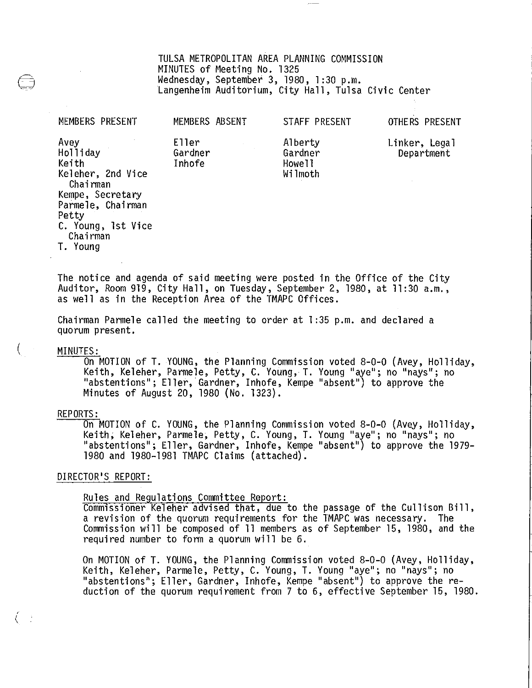TULSA METROPOLITAN AREA PLANNING COMMISSION MINUTES of Meeting No. 1325<br>Wednesday, September 3, 1980, 1:30 p.m. Langenheim Auditorium, City Hall, Tulsa Civic Center

STAFF PRESENT

OTHE RS PRESENT

| Avey<br>Holliday               | Eller<br>Gardner | Alberty<br>Gardner | Linker, Legal<br>Department |
|--------------------------------|------------------|--------------------|-----------------------------|
| Keith                          | Inhofe           | Howell             |                             |
| Keleher, 2nd Vice<br>Chairman  |                  | Wilmoth            |                             |
| Kempe, Secretary               |                  |                    |                             |
| Parmele, Chairman              |                  |                    |                             |
| Petty                          |                  |                    |                             |
| C. Young, 1st Vice<br>Chairman |                  |                    |                             |
| T. Young                       |                  |                    |                             |

MEMBERS ABSENT

The notice and agenda of said meeting were posted in the Office of the City Auditor, Room 919, City Hall, on Tuesday, September 2, 1980, at 11:30 a.m., as well as in the Reception Area of the TMAPC Offices.

Chairman Parmele called the meeting to order at 1 :35 p.m. and declared a quorum present.

MEMBERS PRESENT

MINUTES:<br>On MOTION of T. YOUNG, the Planning Commission voted 8-0-0 (Avey, Holliday, Keith, Keleher, Parmele, Petty, C. Young, T. Young "aye"; no "nays"; no "abstentions"; Eller, Gardner, Inhofe, Kempe "absent") to approve the Minutes of August 20, 1980 (No. 1323).

#### REPORTS:

On MOTION of C. YOUNG, the Planning Commission voted 8-0-0 (Avey, Holliday,<br>Keith, Keleher, Parmele, Petty, C. Young, T. Young "aye"; no "nays"; no "abstentions"; Eller, Gardner, Inhofe, Kempe "absent") to approve the 1979- 1980 and 1980-1981 TMAPC Claims (attached).

## DIRECTOR'S REPORT:

Rules and Regulations Committee Report:<br>Commissioner Keleher advised that, due to the passage of the Cullison Bill, a revision of the quorum requirements for the TMAPC was necessary. The Commission will be composed of 11 members as of September 15, 1980, and the required number to form a quorum will be 6.

On MOTION of T. YOUNG, the Planning Commission voted 8-0-0 (Avey, Holliday, Keith, Keleher, Parmele, Petty, C. Young, T. Young "aye"; no "nays"; no "abstentions"; Eller, Gardner, Inhofe, Kempe "absent") to approve the reduction of the quorum requirement from 7 to 6, effective September 15, 1980.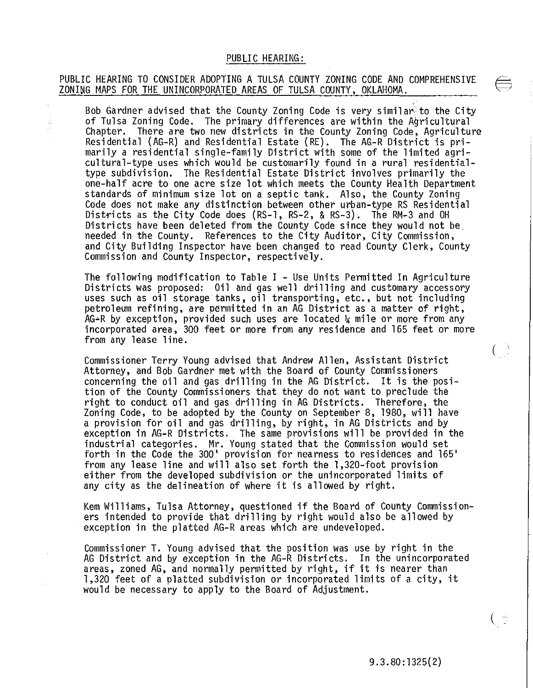## PUBLIC HEARING:

## PUBLIC HEARING TO CONSIDER ADOPTING A TULSA COUNTY ZONING CODE AND COMPREHENSIVE ZONING MAPS FOR THE UNINCORPORATED AREAS OF TULSA COUNTY, OKLAHOMA.

Ê.

Bob Gardner advised that the County Zoning Code is very similar to the City<br>of Tulsa Zoning Code. The primary differences are within the Agricultural<br>Chapter. There are two new districts in the County Zoning Code, Agricult type subdivision. The Residential Estate District involves primarily the standards of minimum size lot on a septic tank. Also, the County Zoning<br>Code does not make any distinction between other urban-type RS Residential Districts as the City Code does (RS-1, RS-2, & RS-3). The RM-3 and OH Districts have been deleted from the County Code since they would not be. needed in the County. References to the City Auditor, City Commission, and City Building Inspector have been changed to read County Clerk, County<br>Commission and County Inspector, respectively.

The following modification to Table I - Use Units Permitted In Agriculture<br>Districts was proposed: Oil and gas well drilling and customary accessory uses such as oil storage tanks, oil transporting, etc., but not including petroleum refining, are permitted in an AG District as a matter of right,  $AG+R$  by exception, provided such uses are located  $\frac{1}{4}$  mile or more incorporated area, 300 feet or more from any residence and 165 feet or more from any lease line.

Commissioner Terry Young advised that Andrew Allen, Assistant District Attorney, and Bob Gardner met with the Board of County Commissioners concerning the oil and gas drilling in the AG District. It is the posi- tion of the County Commissioners that they do not want to preclude the right to conduct oil and gas drilling in AG Districts. Therefore, the Zoning Code, to be adopted by the County on September 8, 1980, will have a provision for oil and gas drilling, by right, in AG Districts and by exception in AG-R Districts. The same provisions will be provided in the industrial categories. Mr. Young stated that the Commission would set forth in the Code the 300' provision for nearness to residences and 165'<br>from any lease line and will also set forth the 1,320-foot provision either from the developed subdivision or the unincorporated limits of any city as the delineation of where it is allowed by right.

Kem Williams, Tulsa Attorney, questioned if the Board of County Commissioners intended to provide that drilling by right would also be allowed by exception in the platted AG-R areas which are undeveloped.

Commissioner T. Young advised that the position was use by right in the AG District and by exception in the AG-R Districts. In the unincorporated areas, zoned AG, and normally permitted by right, if it is nearer than 1,320 feet of a platted subdivision or incorporated limits of a city, it would be necessary to apply to the Board of Adjustment.

9.3.80:1325(2)

 $\overline{(\ }$ 

 $\bigcup$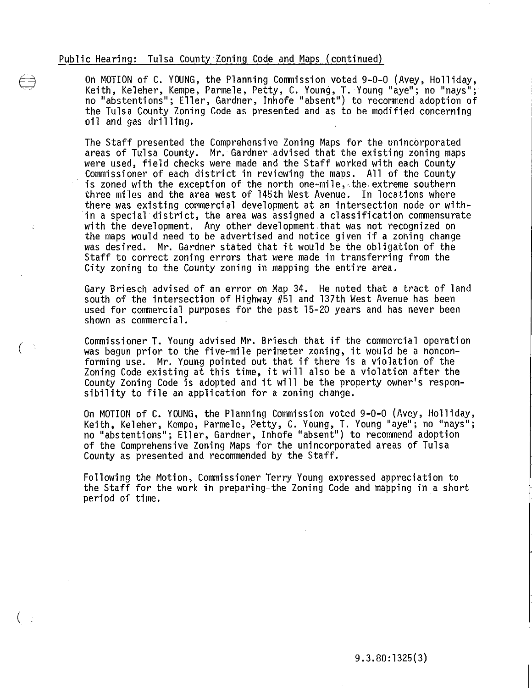(

(

On MOTION of C. YOUNG, the Planning Commission voted 9-0-0 (Avey, Holliday, Keith, Keleher, Kempe, Parmele, Petty, C. Young, T. Young "aye"; no "nays"; no "abstentions"; Eller, Gardner, Inhofe "absent") to recommend adoption of the Tulsa County Zoning Code as presented and as to be modified concerning<br>oil and gas drilling.

The Staff presented the Comprehensive Zoning Maps for the unincorporated areas of Tulsa County. Mr. Gardner advised that the existing zoning maps<br>were used, field checks were made and the Staff worked with each County Commissioner of each district in reviewing the maps. All of the County is zoned with the exception of the north one-mile, the extreme southern three miles and the area west of 145th West Avenue. In locations where there was existing commercial development at an intersection node or within a special district, the area was assigned a classification commensurate with the development. Any other development that was not recognized on the maps would need to be advertised and notice given if a zoning change was desired. Mr. Gardner stated that it would be the obligation of the Staff to correct zoning errors that were made in transferring from the City zoning to the County zoning in mapping the entire area.

Gary Briesch advised of an error on Map 34. He noted that a tract of land south of the intersection of Highway #51 and 137th West Avenue has been used for commercial purposes for the past 15-20 years and has never been shown as commercial.

Commissioner T. Young advised Mr. Briesch that if the commercial operation was begun prior to the five-mile perimeter zoning, it would be a nonconforming use. Mr. Young pointed out that if there is a violation of the Zoning Code existing at this time, it will also be a violation after the County Zoning Code is adopted and it will be the property owner's respon-<br>sibility to file an application for a zoning change.

On MOTION of C. YOUNG, the Planning Commission voted 9-0-0 (Avey, Holliday,<br>Keith, Keleher, Kempe, Parmele, Petty, C. Young, T. Young "aye"; no "nays"; no "abstentions"; Eller, Gardner, Inhofe "absent") to recommend adoption of the Comprehensive Zoning Maps for the unincorporated areas of Tulsa County as presented and recommended by the Staff.

Following the Motion, Commissioner Terry Young expressed appreciation to the Staff for the work in preparing-the Zoning Code and mapping in a short period of time.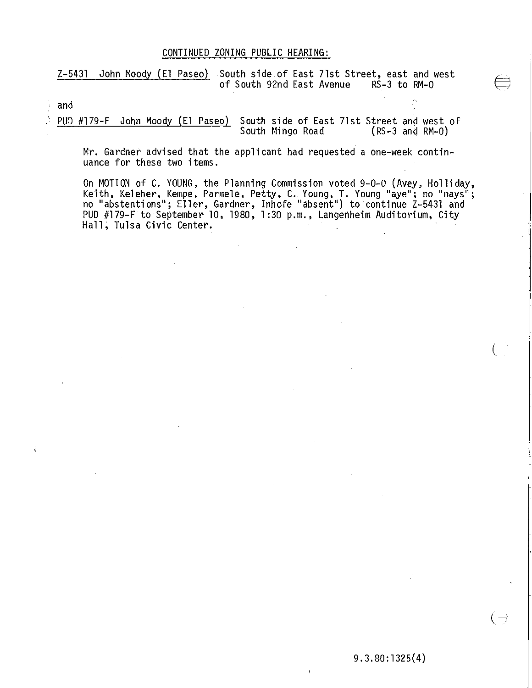## CONTINUED ZONING PUBLIC HEARING:

Z-5431 John Moody (El Paseo) South side of East 71st Street, east and west<br>of South 92nd East Avenue RS-3 to RM-0 of South 92nd East Avenue

and

PUD #179-F John Moody (El Paseo) South side of East 71st Street and west of<br>South Mingo Road (RS-3 and RM-0) South Mingo Road

Mr. Gardner advised that the applicant had requested a one-week continuance for these two items.

On MOTION of C. YOUNG, the Planning Commission voted 9-0-0 (Avey, Holliday, Keith, Keleher, Kempe, Parmele, Petty, C. Young, T. Young "aye"; no "nays"; no "abstentions"; Eller, Gardner, Inhofe "absent") to continue Z-5431 and PUD #179-F to September 10, 1980, 1:30 p.m., Langenheim Auditorium, City<br>Hall, Tulsa Civic Center.

 $(\Rightarrow$ 

(

 $9.3.80:1325(4)$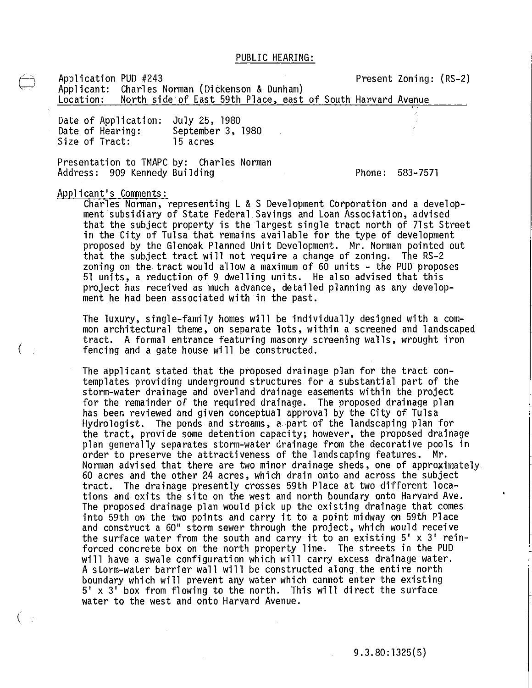Application PUD #243 Applicant: Charles Norman (Dickenson & Dunham) Present Zoning: (RS-2) North side of East 59th Place, east of South Harvard Avenue

Date of Application: July 25, 1980<br>Date of Hearing: September 3,<br>Size of Tract: 15 acres September 3, 1980 15 acres

Presentation to TMAPC by: Charles Norman Address: 909 Kennedy Building

Phone: 583-7571

Applicant's Comments:

(

(

Charles Norman, representing L & S Development Corporation and a develop-<br>ment subsidiary of State Federal Savings and Loan Association, advised that the subject property is the largest single tract north of 71st Street<br>in the City of Tulsa that remains available for the type of development proposed by the Glenoak Planned Unit Development. Mr. Norman pointed out that the subject tract will not require a change of zoning. The RS-2 zoning on the tract would allow a maximum of 60 units - the PUD proposes<br>51 units, a reduction of 9 dwelling units. He also advised that this project has received as much advance, detailed planning as any development he had been associated with in the past.

The luxury, single-family homes will be individually designed with a common architectural theme, on separate lots, within a screened and landscaped tract. A formal entrance featuring masonry screening walls, wrought iron fencing and a gate house will be constructed.

The applicant stated that the proposed drainage plan for the tract contemplates providing underground structures for a substantial part of the<br>storm-water drainage and overland drainage easements within the project for the remainder of the required drainage. The proposed drainage plan<br>has been reviewed and given conceptual approval by the City of Tulsa Hydrologist. The ponds and streams, a part of the landscaping plan for plan generally separates storm-water drainage from the decorative pools in order to preserve the attractiveness of the landscaping features. Mr. Norman advised that there are two minor drainage sheds, one of approximately. 60 acres and the other 24 acres, which drain onto and across the subject tract. The drainage presently crosses 59th Place at two different locations and exits the site on the west and north boundary onto Harvard Ave. The proposed drainage plan would pick up the existing drainage that comes into 59th on the two points and carry it to a point midway on 59th Place and construct a 60" storm sewer through the project, which would receive the surface water from the south and carry it to an existing 5' x 3' reinforced concrete box on the north property line. The streets in the PUD will have a swa1e configuration which will carry excess drainage water. A storm-water barrier wall will be constructed along the entire north boundary which will prevent any water which cannot enter the existing 5' x 3' box from flowing to the north. This will direct the surface water to the west and onto Harvard Avenue.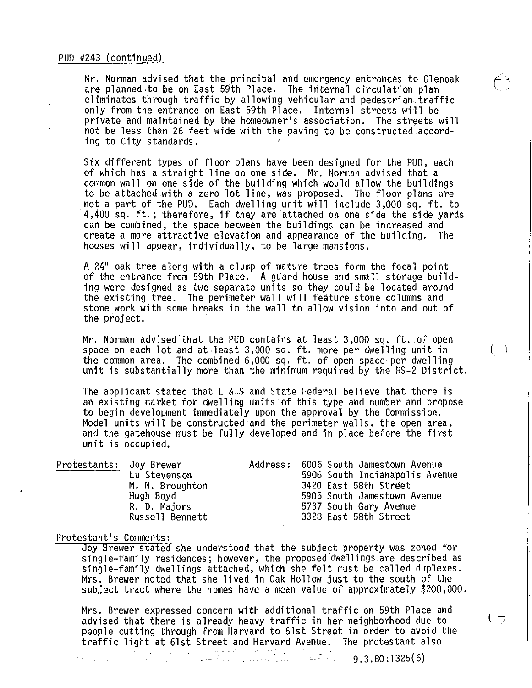Mr. Norman advised that the principal and emergency entrances to Glenoak<br>are planned to be on East 59th Place. The internal circulation plan eliminates through traffic by allowing vehicular and pedestrian traffic<br>only from the entrance on East 59th Place. Internal streets will be private and maintained by the homeowner's association. The streets will not be less than 26 feet wide with the paving to be constructed according to City standards.

Six different types of floor plans have been designed for the PUD, each of which has a straight line on one side. Mr. Norman advised that a common wall on one side of the building which would allow the buildings to be attached with a zero lot line, was proposed. The floor plans are not a part of the PUD. Each dwelling unit will include 3,000 sq. ft. to 4,400 sq. ft.; therefore, if they are attached on one side the side yards can be combined, the space between the buildings can be increased and create a more attractive elevation and appearance of the building. The houses will appear, individually, to be large mansions.

A 24" oak tree along with a clump of mature trees form the focal point<br>of the entrance from 59th Place. A guard house and small storage building were designed as two separate units so they could be located around the existing tree. The perimeter wall will feature stone columns and stone work with some breaks in the wall to allow vision into and out of the proj ect.

Mr. Norman advised that the PUD contains at least 3,000 sq. ft. of open space on each lot and at least 3,000 sq. ft. more per dwelling unit in  $( )$ <br>the common area. The combined 6,000 sq. ft. of open space per dwelling unit is substantially more than the minimum required by the RS-2 District.

The applicant stated that L &.S and State Federal believe that there is an existing market for dwelling units of this type and number and propose to begin development immediately upon the approval by the Commission. Model units will be constructed and the perimeter walls, the open area, and the gatehouse must be fully developed and in place before the first unit is occupied.

| Protestants: Joy Brewer |                 | Address: 6006 South Jamestown Avenue |
|-------------------------|-----------------|--------------------------------------|
|                         | Lu Stevenson    | 5906 South Indianapolis Avenue       |
|                         | M. N. Broughton | 3420 East 58th Street                |
|                         | Hugh Boyd       | 5905 South Jamestown Avenue          |
|                         | R. D. Majors    | 5737 South Gary Avenue               |
|                         | Russell Bennett | 3328 East 58th Street                |
|                         |                 |                                      |

#### Protestant's Comments:

Joy Brewer stated she understood that the subject property was zoned for single-family residences; however, the proposed 'dwellings' are described as single-family dwellings attached, which she felt must be called duplexes. Mrs. Brewer noted that she lived in Oak Hollow just to the south of the subject tract where the homes have a mean value of approximately \$200,000.

Mrs. Brewer expressed concern with additional traffic on 59th Place and advised that there is already heavy traffic in her neighborhood due to  $\Box$ people cutting through from Harvard to 6lst Street in order to avoid the traffic light at 6lst Street and Harvard Avenue. The protestant also<br>9.3.80:1325(6)

أنام والمتهاري وأشبه كالصالون  $9.3.80:1325(6)$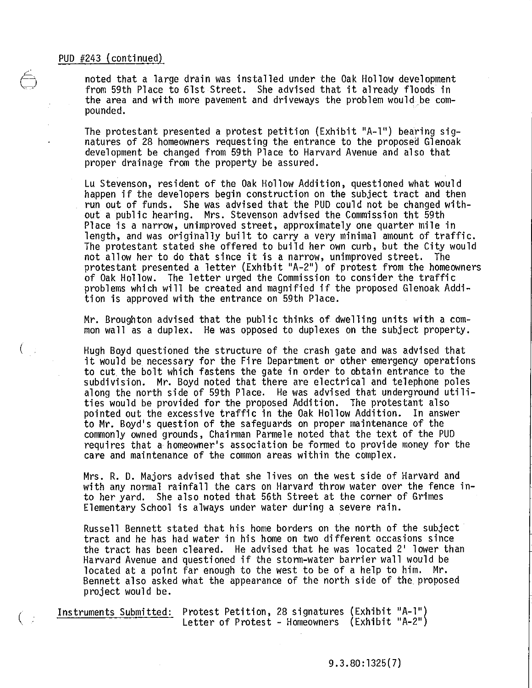noted that a large drain was installed under the Oak Hollow development from 59th Place to 61st Street. She advised that it already floods in the area and with more pavement and driveways the problem would be compounded.

The protestant presented a protest petition (Exhibit "A-l") bearing signatures of 28 homeowners requesting the entrance to the proposed Glenoak development be changed from 59th Place to Harvard Avenue and also that proper drainage from the property be assured.

Lu Stevenson, resident of the Oak Hollow Addition, questioned what would happen if the developers begin construction on the subject tract and then run out of funds. She was advised that the PUD could not be changed without a public hearing. Mrs. Stevenson advised the Commission tht 59th Place is a narrow, unimproved street, approximately one quarter mile in length, and was originally built to carry a very minimal amount of traffic. The protestant stated she offered to build her own curb, but the City would not allow her to do that since it is a narrow, unimproved street. The protestant presented a letter (Exhibit "A-2") of protest from the homeowners of Oak Hollow. The letter urged the Commission to consider the traffic problems which will be created and magnified if the proposed Glenoak Addition is approved with the entrance on 59th Place.

Mr. Broughton advised that the public thinks of dwelling units with a common wall as a duplex. He was opposed to duplexes on the subject property.

Hugh Boyd questioned the structure of the crash gate and was advised that it would be necessary for the Fire Department or other emergency operations to cut the bolt which fastens the gate in order to obtain entrance to the subdivision. Mr. Boyd noted that there are electrical and telephone poles<br>along the north side of 59th Place. He was advised that underground utilities would be provided for the proposed Addition. The protestant also pointed out the excessive traffic in the Oak Hollow Addition. In answer to Mr. Boyd's question of the safeguards on proper maintenance of the commonly owned grounds, Chairman Parmele noted that the text of the PUD requires that a homeowner's association be formed to provide money for the care and maintenance of the common areas within the complex.

Mrs. R. D. Majors advised that she lives on the west side of Harvard and with any normal rainfall the cars on Harvard throw water over the fence into her yard. She also noted that 56th Street at the corner of Grimes Elementary School is always under water during a severe rain.

Russell Bennett stated that his home borders on the north of the subject tract and he has had water in his home on two different occasions since the tract has been cleared. He advised that he was located 2' lower than Harvard Avenue and questioned if the storm-water barrier wall would be located at a point far enough to the west to be of a help to him. Mr. Bennett also asked what the appearance of the north side of the. proposed project would be.

 $\Big(\begin{array}{c} \frac{1}{2} \\ \frac{1}{2} \end{array}\Big)$ 

( Instruments Submitted: Protest Petition, 28 signatures (Exhibit "A-l") Letter of Protest - Homeowners (Exhibit "A-2")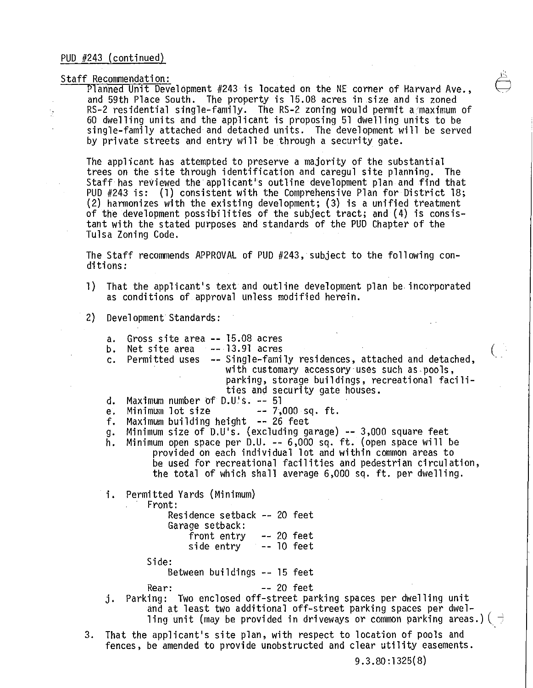# Staff Recommendation:  $\overline{a}$

ÿ

Planned Unit Development #243 is located on the NE corner of Harvard Ave.,  $\quad \overline{\smash{\bigcup}}$  and 59th Place South. The property is 15.08 acres in size and is zoned RS-2 residential single-family. The RS-2 zoning would permit a maximum of 60 dwelling units and the applicant is proposing 51 dwelling units to be single-family attached and detached units. The development will be served by private streets and entry will be through a security gate.

The applicant has attempted to preserve a majority of the substantial trees on the site through identification and caregul site planning. The Staff has reviewed the applicant's outline development plan and find that PUD #243 is: (1) consistent with the Comprehensive Plan for District 18; (2) harmonizes with the existing development; (3) is a unified treatment of the development possibilities of the subject tract; and (4) is consistant with the stated purposes and standards of the PUD Chapter of the Tulsa Zoning Code.

The Staff recommends APPROVAL of PUD #243, subject to the following conditions:

- 1) That the applicant's text and outline development plan be. incorporated as conditions of approval unless modified herein.
- 2) Development Standards:
- a. Gross site area -- 15.08 acres b. Net site area  $-$  13.91 acres c. Permitted uses -- Single-family residences, attached and detached,<br>with customary accessory uses such as pools, parking, storage buildings, recreational facilities and security gate houses. d. Maximum number of  $D.U's. -- 51$ <br>e. Minimum lot size  $-7$ , e. Minimum lot size  $-7,000$  sq. ft. f. Maximum building height -- 26 feet g. Minimum size of  $D.U's.$  (excluding garage) -- 3,000 square feet h. Minimum open space per D.U. -- 6,000 sq. ft. (open space will be provided on each individual lot and within common areas to i. Permitted Yards (Minimum) be used for recreational facilities and pedestrian circulation, the total of which shall average 6,000 sq. ft. per dwelling. Front: Residence setback -- 20 feet Garage setback: front entry  $-20$  feet side entry  $-$  10 feet Side: Between buildings -- 15 feet Rear: 20 feet j. Parking: Two enclosed off-street parking spaces per dwelling unit and at least two additional off-street parking spaces per dwelling unit (may be provided in driveways or common parking areas.)(  $\frac{1}{\sqrt{2}}$ 3. That the applicant's site plan, with respect to location of pools and
- fences. be amended to provide unobstructed and clear utility easements.

9.3.80:1325(8)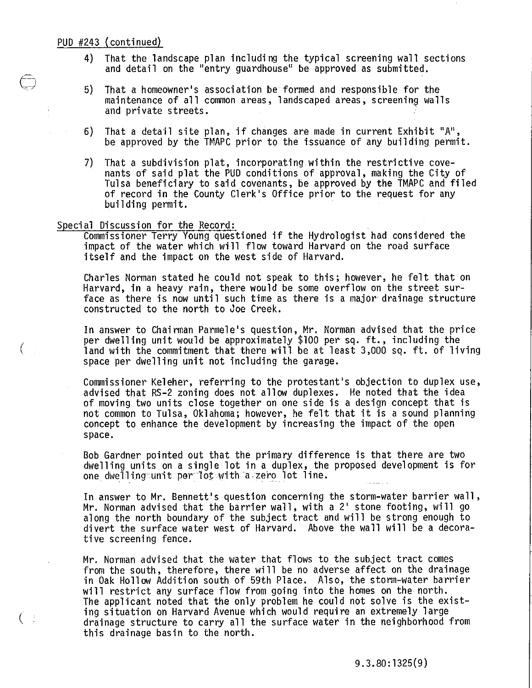- 4) That the landscape plan including the typical screening wall sections and detail on the "entry guardhouse" be approved as submitted.
- 5) That a homeowner's association be formed and responsible for the maintenance of all common areas, landscaped areas, screening walls and private streets. .
- 6) That a detail site plan, if changes are made in current Exhibit "A", be approved by the TMAPC prior to the issuance of any building permit.
- 7) That a subdivision plat, incorporating within the restrictive covenants of said plat the PUD conditions of approval, making the City of Tulsa beneficiary to said covenants, be approved by the TMAPC and filed of record in the County Clerk's Office prior to the request for any building permit.

#### Special Discussion for the Record:

(

 $\left(\begin{array}{c} \end{array}\right)$ 

Commissioner Terry Young questioned if the Hydrologist had considered the impact of the water which will flow toward Harvard on the road surface itself and the impact on the west side of Harvard.

Charles Norman stated he could not speak to this; however, he felt that on Harvard, in a heavy rain, there would be some overflow on the street surface as there is now until such time as there is a major drainage structure constructed to the north to Joe Creek.

In answer to Chairman Parmele's question, Mr. Norman advised that the price per dwelling unit would be approximately \$100 per sq. ft., including the land with the commitment that there will be at least 3,000 sq. ft. of living space per dwelling unit not including the garage.

Commissioner Keleher, referring to the protestant's objection to duplex use, advised that RS-2 zoning does not allow duplexes. He noted that the idea of moving two units close together on one side is a design concept that is not common to Tulsa, Oklahoma; however, he felt that it is a sound planning concept to enhance the development by increasing the impact of the open space.

Bob Gardner pointed out that the primary difference is that there are two dwelling units on a single lot in a duplex, the proposed development is for one. dwelling unit per-1ot·with -a zero lot line.

In answer to Mr. Bennett's question concerning the storm-water barrier wall, Mr. Norman advised that the barrier wall, with a 2' stone footing, will go<br>along the north boundary of the subject tract and will be strong enough to divert the surface water west of Harvard. Above the wall will be a decorative screening fence.

Mr. Norman advised that the water that flows to the subject tract comes from the south, therefore, there will be no adverse affect on the drainage<br>in Oak Hollow Addition south of 59th Place. Also, the storm-water barrier will restrict any surface flow from going into the homes on the north. The applicant noted that the only problem he could not solve is the exist-<br>ing situation on Harvard Avenue which would require an extremely large drainage structure to carry all the surface water in the neighborhood from this drainage basin to the north.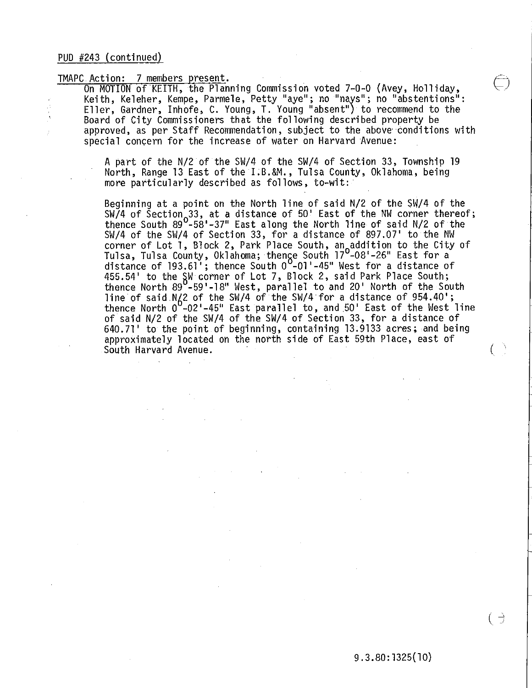TMAPC Action: 7 members present.<br>On MOTION of KEITH, the Planning Commission voted 7-0-0 (Avey, Holliday,<br>Keith, Keleher, Kempe, Parmele, Petty "aye"; no "nays"; no "abstentions": Eller, Gardner, Inhofe, C. Young, T. Young "absent") to recommend to the Board of City Commissioners that the following described property be approved, as per Staff Recommendation, subject to the above conditions with special concern for the increase of water on Harvard Avenue:

> A part of the N/2 of the SW/4 of the SW/4 of Section 33, Township 19 North, Range 13 East of the I.B.&M., Tulsa County, Oklahoma, being more particularly described as follows, to-wit:'

Beginning at a point on the North line of said N/2 of the SW/4 of the SW/4 of Section 33, at a distance of 50' East of the NW corner thereof;<br>thereo South 800 E81-37" East along the North line of said N/2 of the thence South 89<sup>0</sup>-58'-37" East along the North line of said N/2 of the SW/4 of the SW/4 of Section 33, for a distance of 897.07' to the NW corner of Lot 1, Block 2, Park Place South, an<sub>n</sub>addition to the City of Tulsa, Tulsa County, Oklahoma; thense South 17<sup>0</sup> -08'-26" East for a distance of  $193.61'$ ; thence South  $0^{\circ}$ -01'-45" West for a distance of 455.54' to the SW corner of Lot 7, Block 2, said Park Place South; thence North 89<sup>0</sup>-59'-18" West, parallel to and 20' North of the South line of said N/2 of the SW/4 of the SW/4 for a distance of 954.40';<br>thence North 0 -02'-45" East parallel to, and 50' East of the West line of said N/2 of the SW/4 of the SW/4 of Section 33, for a distance of<br>640.71' to the point of beginning, containing 13.9133 acres; and being 640.71' to the point of beginning, containing 13.9133 acres; and being<br>approximately located on the north side of East 59th Place, east of South Harva rd Avenue. (

 $\left( \begin{array}{c} \rightarrow \end{array} \right)$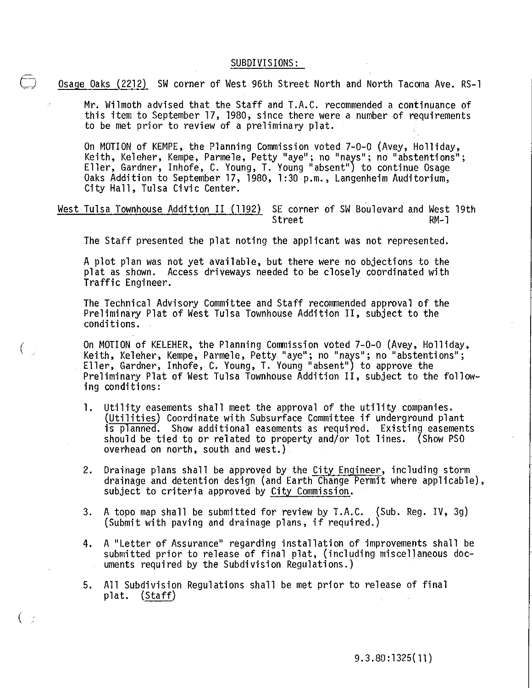#### SUBDIVISIONS:

Osage Oaks (2212) SW corner of West 96th Street North and North Tacoma Ave. RS-1

Mr. Wilmoth advised that the Staff and T.A.C. recommended a continuance of this item to September 17, 1980, since there were a number of requirements to be met prior to review of a preliminary plat.

On MOTION of KEMPE, the Planning Commission voted 7-0-0 (Avey, Holliday,<br>Keith, Keleher, Kempe, Parmele, Petty "aye"; no "nays"; no "abstentions"; Eller, Gardner, Inhofe, C. Young, T. Young "absent") to continue Osage<br>Oaks Addition to September 17, 1980, 1:30 p.m., Langenheim Auditorium, City Hall, Tulsa Civic Center.

West Tulsa Townhouse Addition II (1192) SE corner of SW Boulevard and West 19th<br>Street RM-1 Street

The Staff presented the plat noting the applicant was not represented.

A plot plan was not yet available, but there were no objections to the plat as shown. Access driveways needed to be closely coordinated with Traffic Engineer.

The Technical Advisory Committee and Staff recommended approval of the Preliminary Plat of West Tulsa Townhouse Addition II, subject to the conditions.

 $\Big(\begin{array}{c} 1 \ 1 \end{array}\Big)$ 

(

On MOTION of KELEHER, the Planning Commission voted 7-0-0 (Avey, Holliday,<br>Keith, Keleher, Kempe, Parmele, Petty "aye"; no "nays"; no "abstentions"; Eller, Gardner, Inhofe, C. Young, T. Young "absent") to approve the Preliminary Plat of West Tulsa Townhouse Addition II, subject to the following conditions:

- 1. Utility easements shall meet the approval of the utility companies.<br>(Utilities) Coordinate with Subsurface Committee if underground plant<br>is planned. Show additional easements as required. Existing easements should be tied to or related to property and/or lot lines. (Show PSO overhead on north, south and west.).
- 2. Drainage plans shall be approved by the City Engineer, including storm drainage and detention design (and Earth Change Permit where applicable), subject to criteria approved by City Commission.
- 3. A topo map shall be submitted for review by T.A.C. (Sub. Reg. IV, 3g) (Submit with paving and drainage plans, if required.)
- 4. A "Letter of Assurance" regarding installation of improvements shall be submitted prior to release of final plat, (including miscellaneous documents required by the Subdivision Regulations.)
- 5. All Subdivision Regulations shall be met prior to release of final plat. (Staff)

9. 3 . 80 : 1325 ( 11 )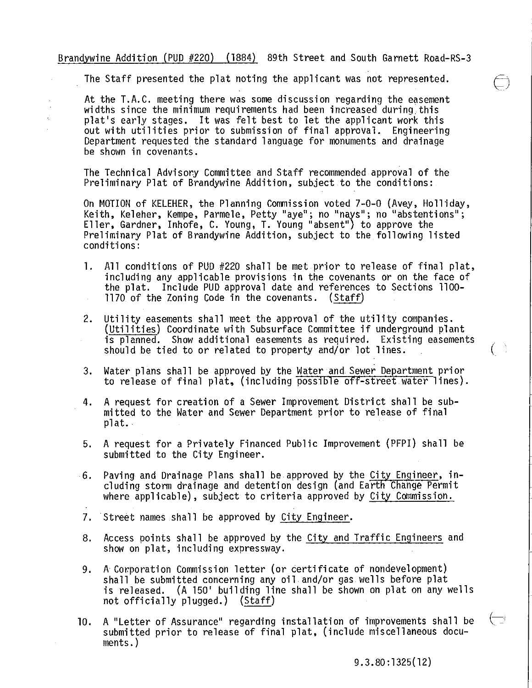Brandywine Addition (PUD #220) (1884) 89th Street and South Garnett Road-RS-3

The Staff presented the plat noting the applicant was not represented.

At the T.A.C. meeting there was some discussion regarding the easement widths since the minimum requirements had been increased during this plat's early stages. It was felt best to let the applicant work this out with utilities prior to submission of final approval. Engineering<br>Department requested the standard language for monuments and drainage<br>be shown in covenants.

The Technical Advisory Committee and Staff recommended approval of the Preliminary Plat of Brandywine Addition, subject to the conditions:

On MOTION of KELEHER, the Planning Commission voted 7-0-0 (Avey, Holliday,<br>Keith, Keleher, Kempe, Parmele, Petty "aye"; no "nays"; no "abstentions"; Eller, Gardner, Inhofe, C. Young, T. Young "absent") to approve the Preliminary Plat of Brandywine Addition, subject to the following listed conditions:

- 1. All conditions of PUD #220 shall be met prior to release of final plat,<br>including any applicable provisions in the covenants or on the face of the plat. Include PUD approval date and references to Sections 1100- 1170 of the Zoning Code in the covenants. (Staff)  $\mathcal{L}_{\rm{in}}$
- 2. Utility easements shall meet the approval of the utility companies.<br>(Utilities) Coordinate with Subsurface Committee if underground plant<br>is planned. Show additional easements as required. Existing easements should be tied to or related to property and/or lot lines.
- 3. Water plans shall be approved by the Water and Sewer Department prior to release of final plat, (including possible off-street water lines).
- 4. A request for creation of a Sewer Improvement District shall be submitted to the Water and Sewer Department prior to release of final  $plat.$
- 5. A request for a Privately Financed Public Improvement (PFPI) shall be submitted to the City Engineer.
- ·6. Paving and Drainage Plans shall be approved by the City Engineer, including storm drainage and detention design (and Earth Change Permit where applicable), subject to criteria approved by City Commission.
- 7. Street names shall be approved by City Engineer.
- 8. Access points shall be approved by the City and Traffic Engineers and show on plat, including expressway.
- 9. A Corporation Commission letter (or certificate of nondevelopment) shall be submitted concerning any oil and/or gas. wells before plat is released. (A 150' building line shall be shown on plat on any wells not officially plugged.) (Staff)
- 10. A "Letter of Assurance" regarding installation of improvements shall be  $\sqrt{-\frac{1}{2}}$ submitted prior to release of final plat, (include miscellaneous documents.)

9.3.80:1325(12)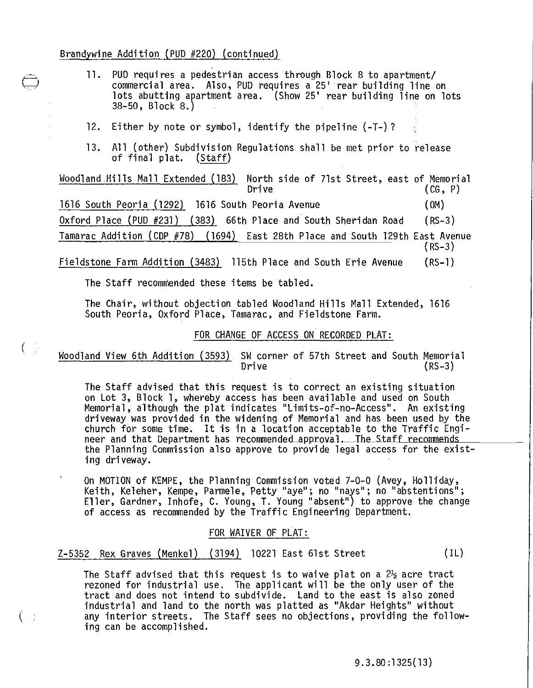## Brandywine Addition (PUD #220) (continued)

- 11. PUD requires a pedestrian access through Block 8 to apartment/<br>commercial area. Also, PUD requires a 25' rear building line on lots abutting apartment area. (Show 25' rear building line on lots 38-50, Block 8.)
- 12. Either by note or symbol, identify the pipeline (-T-)?
- 13. All (other) Subdivision Regulations shall be met prior to release<br>of final plat. (Staff) of final plat.

Woodland Hills Mall Extended (183) North side of 71st Street, east of Memorial Drive  $(CG, P)$ 

1616 South Peoria (1292) 1616 South Peoria Avenue ( OM)

Oxford Place (PUD #231) (383) 66th Place and South Sheridan Road (RS-3 )

Tamarac Addition (CDP #78) (1694) East 28th Place and South l29th East Avenue (RS-3 )

Fieldstone Farm Addition (3483) l15th Place and South Erie Avenue  $(RS-1)$ 

The Staff recommended these items be tabled.

 $(\ \ )$ 

 $(\quad)$ 

The Chair, without objection tabled Woodland Hills Mall Extended, 1616 South Peoria, Oxford Place, Tamarac, and Fieldstone Farm.

## FOR CHANGE OF ACCESS ON RECORDED PLAT:

Woodland View 6th Addition (3593) SW corner of 57th Street and South Memorial  $(RS-3)$ 

The Staff advised that this request is to correct an existing situation on Lot 3, Block 1, whereby access has been available and used on South Memorial, although the plat indicates "Limits-of-no-Access". An existing driveway was provided in the widening of Memorial and has been used by the church for some time. It is in a location acceptable to the Traffic Engi-<br>neer and that Department has recommended approval. The Staff recommends the Planning Commission also approve to provide legal access for the existing driveway.

On MOTION of KEMPE, the Planning Commission voted 7-0-0 (Avey, Holliday,<br>Keith, Keleher, Kempe, Parmele, Petty "aye"; no "nays"; no "abstentions"; Eller, Gardner, Inhofe, C. Young, T. Young "absent") to approve the change<br>of access as recommended by the Traffic Engineering Department.

## FOR WAIVER OF PLAT:

Z-5352 Rex Graves (Menkel) (3194) 10221 East 6lst Street (IL)

The Staff advised that this request is to waive plat on a  $2\frac{1}{2}$  acre tract rezoned for industrial use. The applicant will be the only user of the tract and does not intend to subdivide. Land to the east is also zoned industrial and land to the north was platted as "Akdar Heights" without any interior streets. The Staff sees no objections, providing the following can be accomplished.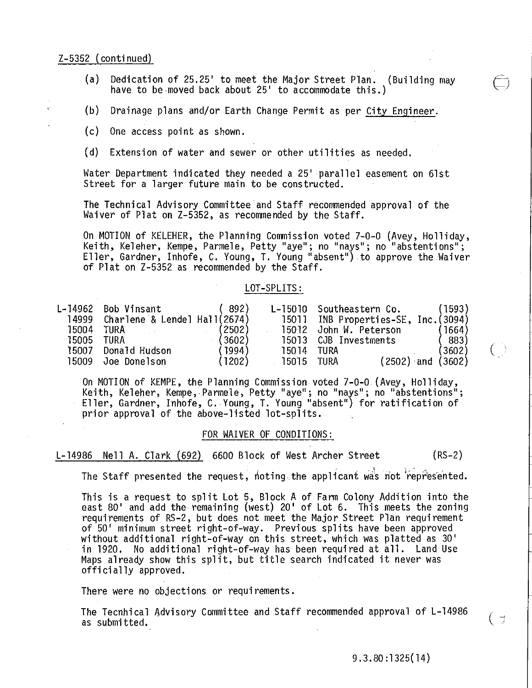## Z-5352 (continued)

- (a) Dedication of 25.25' to meet the Major Street Plan. (Building may<br>*have to be moved back about* 25' to accommodate this.)
- (b) Drainage plans and/or Earth Change Permit as per City Engineer.
- (c) One access point as shown.
- (d) Extension of water and sewer or other utilities as needed.

Water Department indicated they needed a 25' parallel easement on 61st Street for a larger future main to be constructed.

The Technical Advisory Committee and Staff recommended approval of the Waiver of Plat on Z-5352, as recommended by the Staff.

On MOTION of KELEHER, the Planning Commission voted 7-0-0 (Avey, Holliday,<br>Keith, Keleher, Kempe, Parmele, Petty "aye"; no "nays"; no "abstentions"; Eller, Gardner, Inhofe, C. Young, T. Young "absent") to approve the Waiver of Plat on Z-5352 as recommended by the Staff.

### LOT -SPLITS:

|       | L-14962 Bob Vinsant             | (892)  | L-15010 | Southeastern Co.                     | (1593) |
|-------|---------------------------------|--------|---------|--------------------------------------|--------|
| 14999 | Charlene & Lendel Hall $(2674)$ |        |         | 15011 INB Properties-SE, Inc. (3094) |        |
| 15004 | TURA                            | 2502)  | 15012   | John W. Peterson                     | 1664)  |
| 15005 | TURA                            | (3602) | 15013   | CJB Investments                      | 883)   |
| 15007 | Donald Hudson                   | 1994)  | 15014   | TURA                                 | (3602) |
| 15009 | Joe Donelson                    | (1202) | 15015   | $(2502)$ and $(3602)$<br>TURA        |        |

On MOTION of KEMPE, the Planning Commission voted 7-0-0 (Avey, Holliday,<br>Keith, Keleher, Kempe, Parmele, Petty "aye"; no "nays"; no "abstentions"; Eller, Gardner, Inhofe, C.· Young, T. Young "absent") for ratification of prior approval of the above-listed lot-splits.

#### FOR WAIVER OF CONDITIONS:

L-14986 Nell A. Clark (692) 6600 Block of West Archer Street (RS-2)

The Staff presented the request, noting the applicant was not represented.

This is a request to split Lot 5, Block A of Farm Colony Addition into the east 80' and add the remaining (west) 20' of Lot 6. This meets the zoning requirements of RS-2, but does not meet the Major Street Plan requirement<br>of 50' minimum street right-of-way. Previous splits have been approved<br>without additional right-of-way on this street, which was platted as 30' in 1920. No additional right-of-way has been required at all. Land Use Maps already show this split, but title search indicated it never was officially approved.

There were no objections or requirements.

The Tecnhical Advisory Committee and Staff recommended approval of L-14986 as submitted.

(

 $($   $\Rightarrow$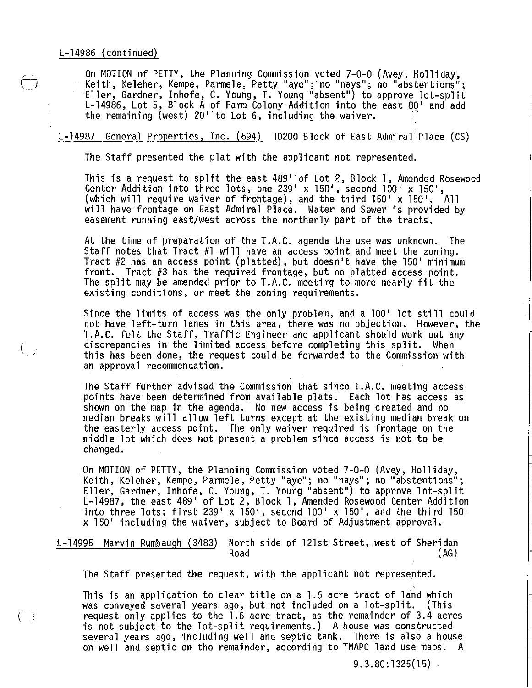$\binom{1}{2}$ 

 $( \ )$ 

On MOTION of PETTY, the Planning Commission voted 7-0-0 (Avey, Holliday,<br>Keith, Keleher, Kempe, Parmele, Petty "aye"; no "nays"; no "abstentions";<br>Eller, Gardner, Inhofe, C. Young, T. Young "absent") to approve lot-split Eller, Gardner, Inhofe, C. Young, T. Young "absent") to approve lot-split L-l 4986 , Lot 5, Block A of Farm Colony Addition into the east 80' and add the remaining (west) 20'to Lot 6, including the waiver.

## L-14987 General Properties, Inc. (694) 10200 Block of East Admiral Place (CS)

The Staff presented the plat with the applicant not represented.

This is a request to split the east 489' of Lot 2, Block 1, Amended Rosewood Center Addition into three lots, one 239' x 150', second 100' x 150', (which will require waiver of frontage), and the third  $150' \times 150'$ . All will have frontage on East Admiral Place. Water and Sewer is provided by easement running east/west across the northerly part of the tracts.

At the time of preparation of the T.A.C. agenda the use was unknown. The<br>Staff notes that Tract #1 will have an access point and meet the zoning. Tract #2 has an access point (platted), but doesn't have the 150' minimum front. Tract #3 has the required frontage, but no platted access point. The split may be amended prior to T.A.C. meeting to more nearly fit the existing conditions, or meet the zoning requirements.

Since the limits of access was the only problem, and a 100' lot still could not have left-turn lanes in this area, there was no objection. However, the T.A.C. felt the Staff, Traffic Engineer and applicant should work out any discrepancies in the limited access before completing this split. When this has been done, the request could be forwarded to the Commission with an approval recommendation.

The Staff further advised the Commission that since T.A.C. meeting access points have been determined from available plats. Each lot has access as shown on the map in the agenda. No new access is being created and no median breaks will allow left turns except at the existing median break on the easterly access point. The only waiver required is frontage on the middle lot which does not present a problem since access is not to be changed.

On MOTION of PETTY, the Planning Commission voted 7-0-0 (Avey, Holliday,<br>Keith, Keleher, Kempe, Parmele, Petty "aye"; no "nays"; no "abstentions"; Eller, Gardner, Inhofe, C. Young, T. Young "absent") to approve lot-split<br>L-14987, the east 489' of Lot 2, Block 1, Amended Rosewood Center Addition into three lots; first 239' x 150', second 100' x 150', and the third 150' x 150' including the waiver, subject to Board of Adjustment approval.

L-14995 Marvin Rumbaugh (3483) North side of 121st Street, west of Sheridan Road (AG)

The Staff presented the request, with the applicant not represented.

This is an application to clear title on a 1.6 acre tract of land which was conveyed several years ago, but not included on a lot-split. (This request only applies to the 1.6 acre tract, as the remainder of 3.4 acres is not subject to the lot-split requirements.) A house was constructed several years ago, including well and septic tank. There is also a house on well and septic on the remainder, according to TMAPC land use maps. A

 $9.3.80:1325(15)$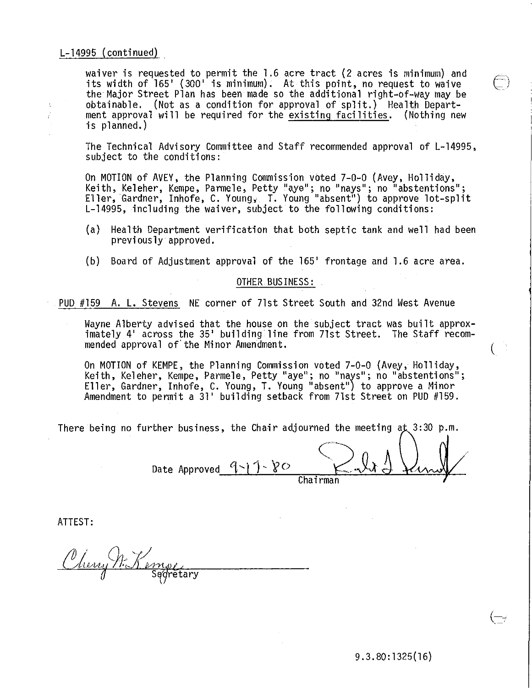## L-14995 (conti nued)

 $\bar{z}$  $\frac{1}{2}$  waiver is requested to permit the 1.6 acre tract (2 acres is minimum) and its width of 165' (300' is minimum). At this point, no request to waive<br>the Major Street Plan has been made so the additional right-of-way may be obtainable. (Not as a condition for approval of split.) Health Department approval will be required for the existing facilities. (Nothing new is planned.)

The Technical Advisory Committee and Staff recommended approval of L-14995, subject to the conditions:

On MOTION of AVEY, the Planning Commission voted 7-0-0 (Avey, Holliday,<br>Keith, Keleher, Kempe, Parmele, Petty "aye"; no "nays"; no "abstentions"; Eller, Gardner, Inhofe, C. Young, T. Young "absent") to approve lot-split<br>L-14995, including the waiver, subject to the following conditions:

- (a) Health Department verification that both septic tank and well had been previously approved.
- (b) Board of Adjustment approval of the 165' frontage and 1.6 acre area.

#### OTHER BUS INESS :

PUD #159 A. L. Stevens NE corner of 71st Street South and 32nd West Avenue

Wayne Alberty advised that the house on the subject tract was built approx-<br>imately 4' across the 35' building line from 71st Street. The Staff recommended approval of'the Minor Amendment. (

On MOTION of KEMPE, the Planning Commission voted 7-0-0 (Avey, Holliday,<br>Keith, Keleher, Kempe, Parmele, Petty "aye"; no "nays"; no "abstentions"; Eller, Gardner, Inhofe, C. Young, T. Young "absent") to approve a Minor Amendment to permit a 31' building setback from 71st Street on PUD #159.

There being no further business, the Chair adjourned the meeting at 3:30 p.m.

Date Approved  $9 - 1 - 80$  $\big<$  $K_{\alpha}$  . Chairman

ATTEST:

Cherry M. Kempe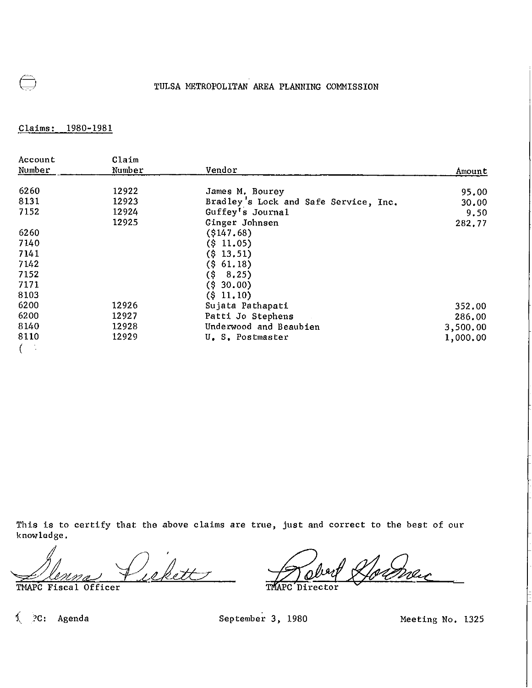# TULSA METROPOLITAN AREA PLANNING COMMISSION

Claims: 1980-1981

| Account | Claim  |                                       |          |
|---------|--------|---------------------------------------|----------|
| Number  | Number | Vendor                                | Amount   |
| 6260    | 12922  | James M. Bourey                       | 95.00    |
| 8131    | 12923  | Bradley's Lock and Safe Service, Inc. | 30,00    |
| 7152    | 12924  | Guffey's Journal                      | 9.50     |
|         | 12925  | Ginger Johnsen                        | 282.77   |
| 6260    |        | $($ \$147.68)                         |          |
| 7140    |        | $($ \$11.05)                          |          |
| 7141    |        | $($ \$13.51)                          |          |
| 7142    |        | (5, 61, 18)                           |          |
| 7152    |        | (S<br>8,25)                           |          |
| 7171    |        | $($ \$ 30.00)                         |          |
| 8103    |        | $($ \$ 11.10)                         |          |
| 6200    | 12926  | Sujata Pathapati                      | 352.00   |
| 6200    | 12927  | Patti Jo Stephens                     | 286.00   |
| 8140    | 12928  | Underwood and Beaubien                | 3,500.00 |
| 8110    | 12929  | U.S. Postmaster                       | 1,000.00 |
|         |        |                                       |          |

This is to certify that the above claims are true, just and correct to the best of our knowledge.

Menna Puekett

Director

~ ?C: Agenda September 3, 1980 Meeting No. 1325